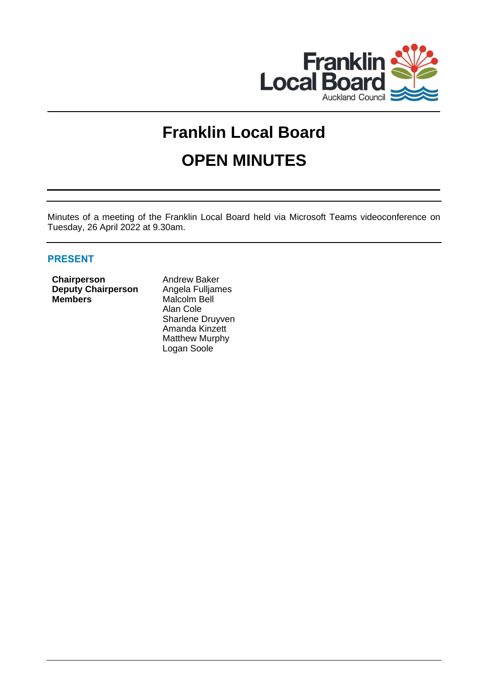

# **Franklin Local Board OPEN MINUTES**

Minutes of a meeting of the Franklin Local Board held via Microsoft Teams videoconference on Tuesday, 26 April 2022 at 9.30am.

# **PRESENT**

**Chairperson Andrew Baker Deputy Chairperson** Angela Fulljames **Members** Malcolm Bell

Alan Cole Sharlene Druyven Amanda Kinzett Matthew Murphy Logan Soole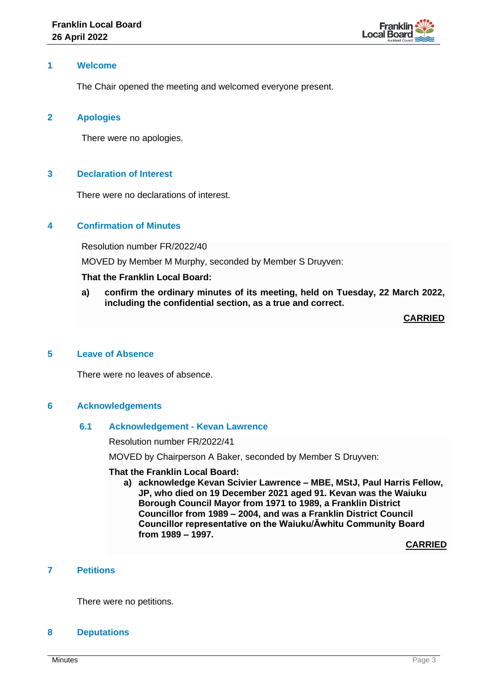

## **1 Welcome**

The Chair opened the meeting and welcomed everyone present.

## **2 Apologies**

There were no apologies.

# **3 Declaration of Interest**

There were no declarations of interest.

## **4 Confirmation of Minutes**

Resolution number FR/2022/40

MOVED by Member M Murphy, seconded by Member S Druyven:

# **That the Franklin Local Board:**

**a) confirm the ordinary minutes of its meeting, held on Tuesday, 22 March 2022, including the confidential section, as a true and correct.**

**CARRIED**

# **5 Leave of Absence**

There were no leaves of absence.

## **6 Acknowledgements**

## **6.1 Acknowledgement - Kevan Lawrence**

Resolution number FR/2022/41

MOVED by Chairperson A Baker, seconded by Member S Druyven:

## **That the Franklin Local Board:**

**a) acknowledge Kevan Scivier Lawrence – MBE, MStJ, Paul Harris Fellow, JP, who died on 19 December 2021 aged 91. Kevan was the Waiuku Borough Council Mayor from 1971 to 1989, a Franklin District Councillor from 1989 – 2004, and was a Franklin District Council Councillor representative on the Waiuku/Āwhitu Community Board from 1989 – 1997.**

**CARRIED**

# **7 Petitions**

There were no petitions.

## **8 Deputations**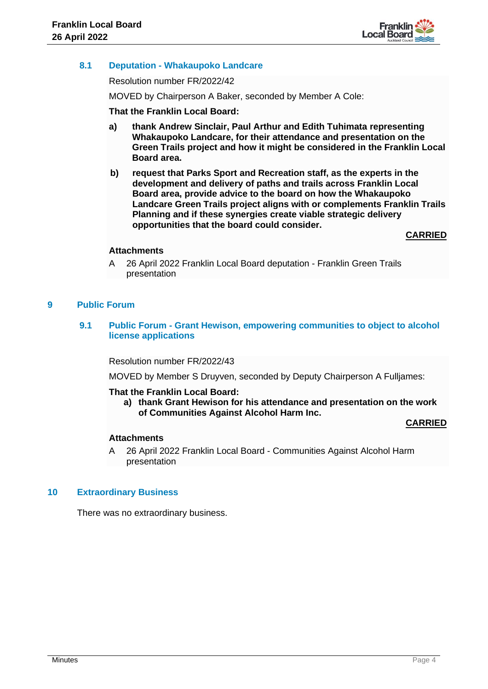

# **8.1 Deputation - Whakaupoko Landcare**

Resolution number FR/2022/42

MOVED by Chairperson A Baker, seconded by Member A Cole:

## **That the Franklin Local Board:**

- **a) thank Andrew Sinclair, Paul Arthur and Edith Tuhimata representing Whakaupoko Landcare, for their attendance and presentation on the Green Trails project and how it might be considered in the Franklin Local Board area.**
- **b) request that Parks Sport and Recreation staff, as the experts in the development and delivery of paths and trails across Franklin Local Board area, provide advice to the board on how the Whakaupoko Landcare Green Trails project aligns with or complements Franklin Trails Planning and if these synergies create viable strategic delivery opportunities that the board could consider.**

**CARRIED**

## **Attachments**

A 26 April 2022 Franklin Local Board deputation - Franklin Green Trails presentation

# **9 Public Forum**

**9.1 Public Forum - Grant Hewison, empowering communities to object to alcohol license applications**

Resolution number FR/2022/43

MOVED by Member S Druyven, seconded by Deputy Chairperson A Fulljames:

## **That the Franklin Local Board:**

**a) thank Grant Hewison for his attendance and presentation on the work of Communities Against Alcohol Harm Inc.**

**CARRIED**

## **Attachments**

A 26 April 2022 Franklin Local Board - Communities Against Alcohol Harm presentation

## **10 Extraordinary Business**

There was no extraordinary business.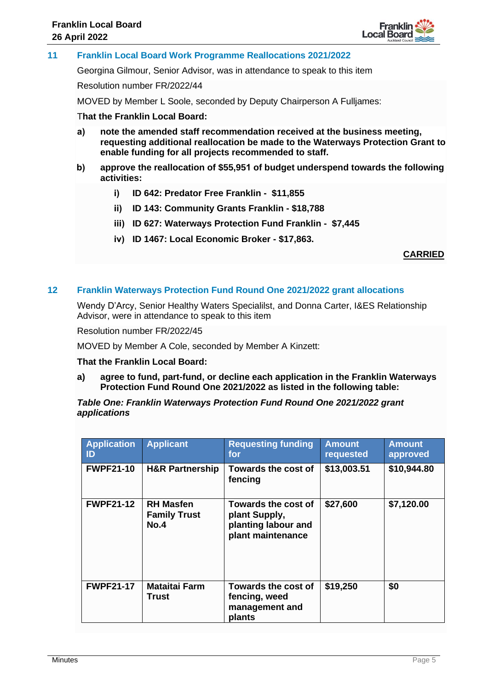

**11 Franklin Local Board Work Programme Reallocations 2021/2022**

Georgina Gilmour, Senior Advisor, was in attendance to speak to this item

Resolution number FR/2022/44

MOVED by Member L Soole, seconded by Deputy Chairperson A Fulljames:

#### T**hat the Franklin Local Board:**

- **a) note the amended staff recommendation received at the business meeting, requesting additional reallocation be made to the Waterways Protection Grant to enable funding for all projects recommended to staff.**
- **b) approve the reallocation of \$55,951 of budget underspend towards the following activities:**
	- **i) ID 642: Predator Free Franklin \$11,855**
	- **ii) ID 143: Community Grants Franklin \$18,788**
	- **iii) ID 627: Waterways Protection Fund Franklin \$7,445**
	- **iv) ID 1467: Local Economic Broker \$17,863.**

**CARRIED**

## **12 Franklin Waterways Protection Fund Round One 2021/2022 grant allocations**

Wendy D'Arcy, Senior Healthy Waters Specialilst, and Donna Carter, I&ES Relationship Advisor, were in attendance to speak to this item

Resolution number FR/2022/45

MOVED by Member A Cole, seconded by Member A Kinzett:

**That the Franklin Local Board:**

**a) agree to fund, part-fund, or decline each application in the Franklin Waterways Protection Fund Round One 2021/2022 as listed in the following table:**

*Table One: Franklin Waterways Protection Fund Round One 2021/2022 grant applications*

| <b>Application</b><br>ID | <b>Applicant</b>                                | <b>Requesting funding</b><br>for                                                 | <b>Amount</b><br>requested | <b>Amount</b><br>approved |
|--------------------------|-------------------------------------------------|----------------------------------------------------------------------------------|----------------------------|---------------------------|
| <b>FWPF21-10</b>         | <b>H&amp;R Partnership</b>                      | <b>Towards the cost of</b><br>fencing                                            | \$13,003.51                | \$10,944.80               |
| <b>FWPF21-12</b>         | <b>RH Masfen</b><br><b>Family Trust</b><br>No.4 | Towards the cost of<br>plant Supply,<br>planting labour and<br>plant maintenance | \$27,600                   | \$7,120.00                |
| <b>FWPF21-17</b>         | <b>Mataitai Farm</b><br>Trust                   | Towards the cost of<br>fencing, weed<br>management and<br>plants                 | \$19,250                   | \$0                       |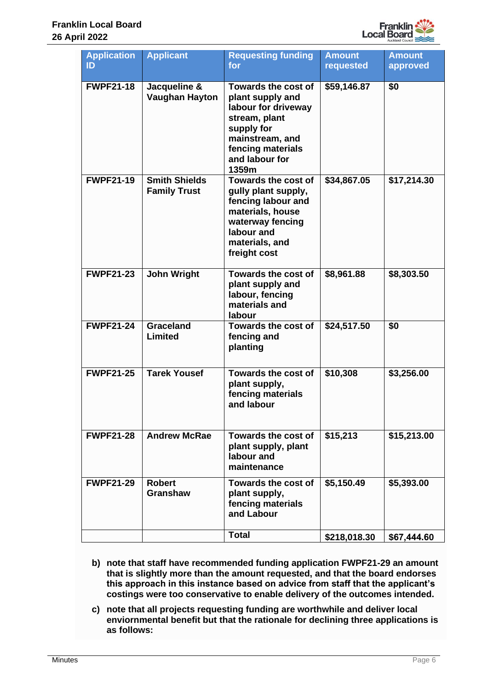

| <b>Application</b><br>ID | <b>Applicant</b>                            | <b>Requesting funding</b><br>for                                                                                                                                        | <b>Amount</b><br>requested | <b>Amount</b><br>approved |
|--------------------------|---------------------------------------------|-------------------------------------------------------------------------------------------------------------------------------------------------------------------------|----------------------------|---------------------------|
| <b>FWPF21-18</b>         | Jacqueline &<br><b>Vaughan Hayton</b>       | <b>Towards the cost of</b><br>plant supply and<br>labour for driveway<br>stream, plant<br>supply for<br>mainstream, and<br>fencing materials<br>and labour for<br>1359m | \$59,146.87                | \$0                       |
| <b>FWPF21-19</b>         | <b>Smith Shields</b><br><b>Family Trust</b> | <b>Towards the cost of</b><br>gully plant supply,<br>fencing labour and<br>materials, house<br>waterway fencing<br>labour and<br>materials, and<br>freight cost         | \$34,867.05                | \$17,214.30               |
| <b>FWPF21-23</b>         | <b>John Wright</b>                          | Towards the cost of<br>plant supply and<br>labour, fencing<br>materials and<br>labour                                                                                   | \$8,961.88                 | \$8,303.50                |
| <b>FWPF21-24</b>         | Graceland<br>Limited                        | <b>Towards the cost of</b><br>fencing and<br>planting                                                                                                                   | \$24,517.50                | \$0                       |
| <b>FWPF21-25</b>         | <b>Tarek Yousef</b>                         | <b>Towards the cost of</b><br>plant supply,<br>fencing materials<br>and labour                                                                                          | \$10,308                   | \$3,256.00                |
| <b>FWPF21-28</b>         | <b>Andrew McRae</b>                         | Towards the cost of<br>plant supply, plant<br>labour and<br>maintenance                                                                                                 | \$15,213                   | \$15,213.00               |
| <b>FWPF21-29</b>         | <b>Robert</b><br><b>Granshaw</b>            | Towards the cost of<br>plant supply,<br>fencing materials<br>and Labour                                                                                                 | \$5,150.49                 | \$5,393.00                |
|                          |                                             | <b>Total</b>                                                                                                                                                            | \$218,018.30               | \$67,444.60               |

- **b) note that staff have recommended funding application FWPF21-29 an amount that is slightly more than the amount requested, and that the board endorses this approach in this instance based on advice from staff that the applicant's costings were too conservative to enable delivery of the outcomes intended.**
- **c) note that all projects requesting funding are worthwhile and deliver local enviornmental benefit but that the rationale for declining three applications is as follows:**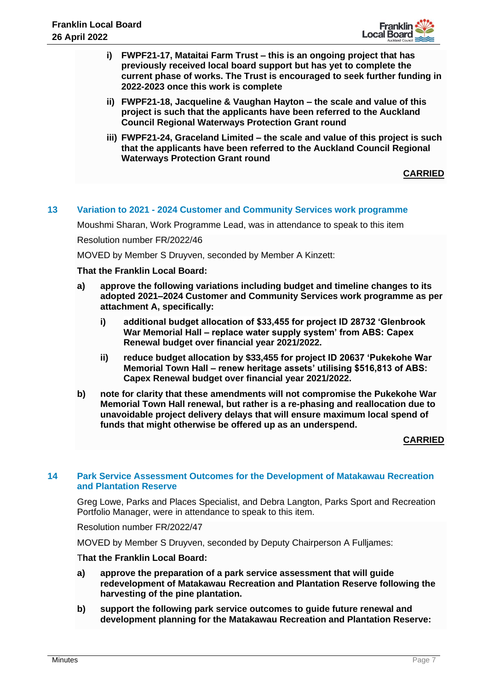

- **i) FWPF21-17, Mataitai Farm Trust – this is an ongoing project that has previously received local board support but has yet to complete the current phase of works. The Trust is encouraged to seek further funding in 2022-2023 once this work is complete**
- **ii) FWPF21-18, Jacqueline & Vaughan Hayton – the scale and value of this project is such that the applicants have been referred to the Auckland Council Regional Waterways Protection Grant round**
- **iii) FWPF21-24, Graceland Limited – the scale and value of this project is such that the applicants have been referred to the Auckland Council Regional Waterways Protection Grant round**

**CARRIED**

# **13 Variation to 2021 - 2024 Customer and Community Services work programme**

Moushmi Sharan, Work Programme Lead, was in attendance to speak to this item

Resolution number FR/2022/46

MOVED by Member S Druyven, seconded by Member A Kinzett:

## **That the Franklin Local Board:**

- **a) approve the following variations including budget and timeline changes to its adopted 2021–2024 Customer and Community Services work programme as per attachment A, specifically:**
	- **i) additional budget allocation of \$33,455 for project ID 28732 'Glenbrook War Memorial Hall – replace water supply system' from ABS: Capex Renewal budget over financial year 2021/2022.**
	- **ii) reduce budget allocation by \$33,455 for project ID 20637 'Pukekohe War Memorial Town Hall – renew heritage assets' utilising \$516,813 of ABS: Capex Renewal budget over financial year 2021/2022.**
- **b) note for clarity that these amendments will not compromise the Pukekohe War Memorial Town Hall renewal, but rather is a re-phasing and reallocation due to unavoidable project delivery delays that will ensure maximum local spend of funds that might otherwise be offered up as an underspend.**

## **CARRIED**

## **14 Park Service Assessment Outcomes for the Development of Matakawau Recreation and Plantation Reserve**

Greg Lowe, Parks and Places Specialist, and Debra Langton, Parks Sport and Recreation Portfolio Manager, were in attendance to speak to this item.

Resolution number FR/2022/47

MOVED by Member S Druyven, seconded by Deputy Chairperson A Fulljames:

T**hat the Franklin Local Board:**

- **a) approve the preparation of a park service assessment that will guide redevelopment of Matakawau Recreation and Plantation Reserve following the harvesting of the pine plantation.**
- **b) support the following park service outcomes to guide future renewal and development planning for the Matakawau Recreation and Plantation Reserve:**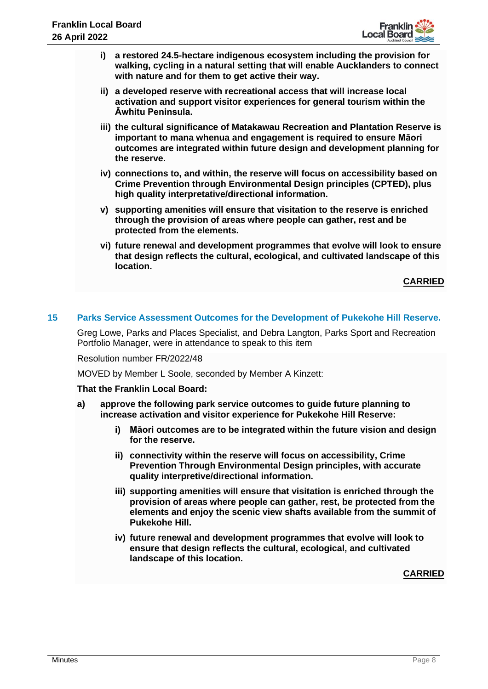

- **i) a restored 24.5-hectare indigenous ecosystem including the provision for walking, cycling in a natural setting that will enable Aucklanders to connect with nature and for them to get active their way.**
- **ii) a developed reserve with recreational access that will increase local activation and support visitor experiences for general tourism within the Āwhitu Peninsula.**
- **iii) the cultural significance of Matakawau Recreation and Plantation Reserve is important to mana whenua and engagement is required to ensure Māori outcomes are integrated within future design and development planning for the reserve.**
- **iv) connections to, and within, the reserve will focus on accessibility based on Crime Prevention through Environmental Design principles (CPTED), plus high quality interpretative/directional information.**
- **v) supporting amenities will ensure that visitation to the reserve is enriched through the provision of areas where people can gather, rest and be protected from the elements.**
- **vi) future renewal and development programmes that evolve will look to ensure that design reflects the cultural, ecological, and cultivated landscape of this location.**

**CARRIED**

# **15 Parks Service Assessment Outcomes for the Development of Pukekohe Hill Reserve.**

Greg Lowe, Parks and Places Specialist, and Debra Langton, Parks Sport and Recreation Portfolio Manager, were in attendance to speak to this item

Resolution number FR/2022/48

MOVED by Member L Soole, seconded by Member A Kinzett:

## **That the Franklin Local Board:**

- **a) approve the following park service outcomes to guide future planning to increase activation and visitor experience for Pukekohe Hill Reserve:**
	- **i) Māori outcomes are to be integrated within the future vision and design for the reserve.**
	- **ii) connectivity within the reserve will focus on accessibility, Crime Prevention Through Environmental Design principles, with accurate quality interpretive/directional information.**
	- **iii) supporting amenities will ensure that visitation is enriched through the provision of areas where people can gather, rest, be protected from the elements and enjoy the scenic view shafts available from the summit of Pukekohe Hill.**
	- **iv) future renewal and development programmes that evolve will look to ensure that design reflects the cultural, ecological, and cultivated landscape of this location.**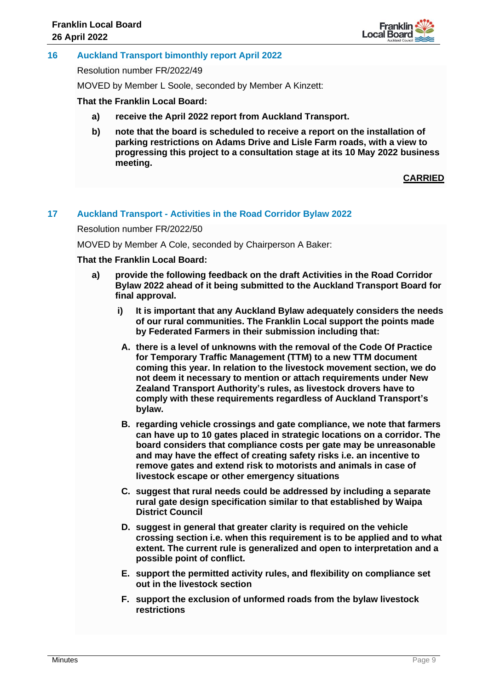

## **16 Auckland Transport bimonthly report April 2022**

Resolution number FR/2022/49

MOVED by Member L Soole, seconded by Member A Kinzett:

#### **That the Franklin Local Board:**

- **a) receive the April 2022 report from Auckland Transport.**
- **b) note that the board is scheduled to receive a report on the installation of parking restrictions on Adams Drive and Lisle Farm roads, with a view to progressing this project to a consultation stage at its 10 May 2022 business meeting.**

# **CARRIED**

## **17 Auckland Transport - Activities in the Road Corridor Bylaw 2022**

Resolution number FR/2022/50

MOVED by Member A Cole, seconded by Chairperson A Baker:

## **That the Franklin Local Board:**

- **a) provide the following feedback on the draft Activities in the Road Corridor Bylaw 2022 ahead of it being submitted to the Auckland Transport Board for final approval.**
	- **i) It is important that any Auckland Bylaw adequately considers the needs of our rural communities. The Franklin Local support the points made by Federated Farmers in their submission including that:**
	- **A. there is a level of unknowns with the removal of the Code Of Practice for Temporary Traffic Management (TTM) to a new TTM document coming this year. In relation to the livestock movement section, we do not deem it necessary to mention or attach requirements under New Zealand Transport Authority's rules, as livestock drovers have to comply with these requirements regardless of Auckland Transport's bylaw.**
	- **B. regarding vehicle crossings and gate compliance, we note that farmers can have up to 10 gates placed in strategic locations on a corridor. The board considers that compliance costs per gate may be unreasonable and may have the effect of creating safety risks i.e. an incentive to remove gates and extend risk to motorists and animals in case of livestock escape or other emergency situations**
	- **C. suggest that rural needs could be addressed by including a separate rural gate design specification similar to that established by Waipa District Council**
	- **D. suggest in general that greater clarity is required on the vehicle crossing section i.e. when this requirement is to be applied and to what extent. The current rule is generalized and open to interpretation and a possible point of conflict.**
	- **E. support the permitted activity rules, and flexibility on compliance set out in the livestock section**
	- **F. support the exclusion of unformed roads from the bylaw livestock restrictions**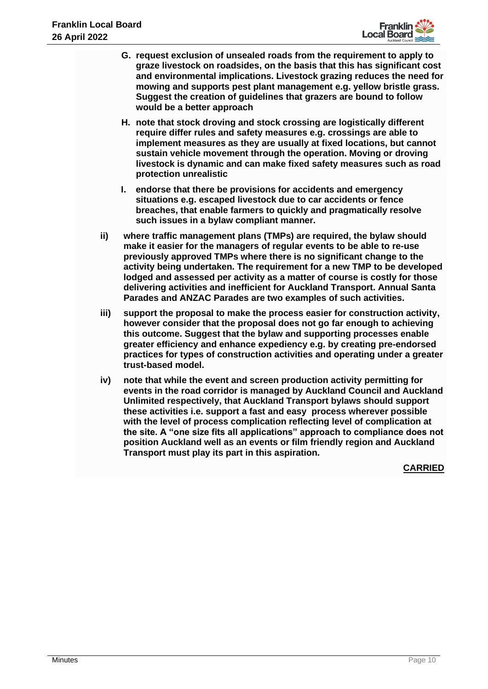

- **G. request exclusion of unsealed roads from the requirement to apply to graze livestock on roadsides, on the basis that this has significant cost and environmental implications. Livestock grazing reduces the need for mowing and supports pest plant management e.g. yellow bristle grass. Suggest the creation of guidelines that grazers are bound to follow would be a better approach**
- **H. note that stock droving and stock crossing are logistically different require differ rules and safety measures e.g. crossings are able to implement measures as they are usually at fixed locations, but cannot sustain vehicle movement through the operation. Moving or droving livestock is dynamic and can make fixed safety measures such as road protection unrealistic**
- **I. endorse that there be provisions for accidents and emergency situations e.g. escaped livestock due to car accidents or fence breaches, that enable farmers to quickly and pragmatically resolve such issues in a bylaw compliant manner.**
- **ii) where traffic management plans (TMPs) are required, the bylaw should make it easier for the managers of regular events to be able to re-use previously approved TMPs where there is no significant change to the activity being undertaken. The requirement for a new TMP to be developed lodged and assessed per activity as a matter of course is costly for those delivering activities and inefficient for Auckland Transport. Annual Santa Parades and ANZAC Parades are two examples of such activities.**
- **iii) support the proposal to make the process easier for construction activity, however consider that the proposal does not go far enough to achieving this outcome. Suggest that the bylaw and supporting processes enable greater efficiency and enhance expediency e.g. by creating pre-endorsed practices for types of construction activities and operating under a greater trust-based model.**
- **iv) note that while the event and screen production activity permitting for events in the road corridor is managed by Auckland Council and Auckland Unlimited respectively, that Auckland Transport bylaws should support these activities i.e. support a fast and easy process wherever possible with the level of process complication reflecting level of complication at the site. A "one size fits all applications" approach to compliance does not position Auckland well as an events or film friendly region and Auckland Transport must play its part in this aspiration.**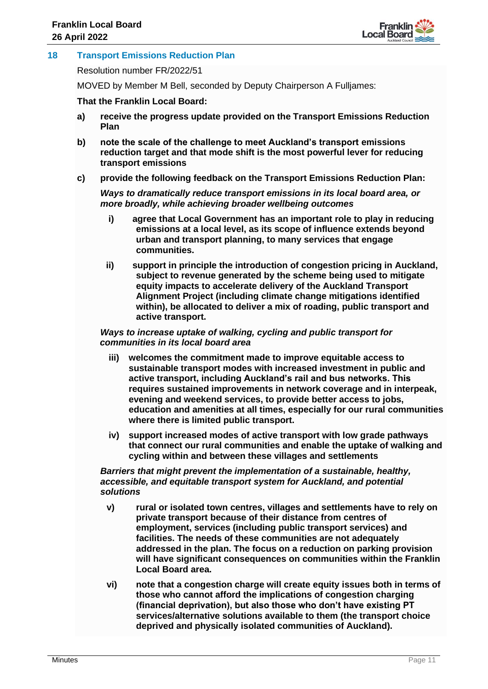

# **18 Transport Emissions Reduction Plan**

Resolution number FR/2022/51

MOVED by Member M Bell, seconded by Deputy Chairperson A Fulljames:

## **That the Franklin Local Board:**

- **a) receive the progress update provided on the Transport Emissions Reduction Plan**
- **b) note the scale of the challenge to meet Auckland's transport emissions reduction target and that mode shift is the most powerful lever for reducing transport emissions**
- **c) provide the following feedback on the Transport Emissions Reduction Plan:**

*Ways to dramatically reduce transport emissions in its local board area, or more broadly, while achieving broader wellbeing outcomes* 

- **i) agree that Local Government has an important role to play in reducing emissions at a local level, as its scope of influence extends beyond urban and transport planning, to many services that engage communities.**
- **ii) support in principle the introduction of congestion pricing in Auckland, subject to revenue generated by the scheme being used to mitigate equity impacts to accelerate delivery of the Auckland Transport Alignment Project (including climate change mitigations identified within), be allocated to deliver a mix of roading, public transport and active transport.**

## *Ways to increase uptake of walking, cycling and public transport for communities in its local board area*

- **iii) welcomes the commitment made to improve equitable access to sustainable transport modes with increased investment in public and active transport, including Auckland's rail and bus networks. This requires sustained improvements in network coverage and in interpeak, evening and weekend services, to provide better access to jobs, education and amenities at all times, especially for our rural communities where there is limited public transport.**
- **iv) support increased modes of active transport with low grade pathways that connect our rural communities and enable the uptake of walking and cycling within and between these villages and settlements**

# *Barriers that might prevent the implementation of a sustainable, healthy, accessible, and equitable transport system for Auckland, and potential solutions*

- **v) rural or isolated town centres, villages and settlements have to rely on private transport because of their distance from centres of employment, services (including public transport services) and facilities. The needs of these communities are not adequately addressed in the plan. The focus on a reduction on parking provision will have significant consequences on communities within the Franklin Local Board area.**
- **vi) note that a congestion charge will create equity issues both in terms of those who cannot afford the implications of congestion charging (financial deprivation), but also those who don't have existing PT services/alternative solutions available to them (the transport choice deprived and physically isolated communities of Auckland).**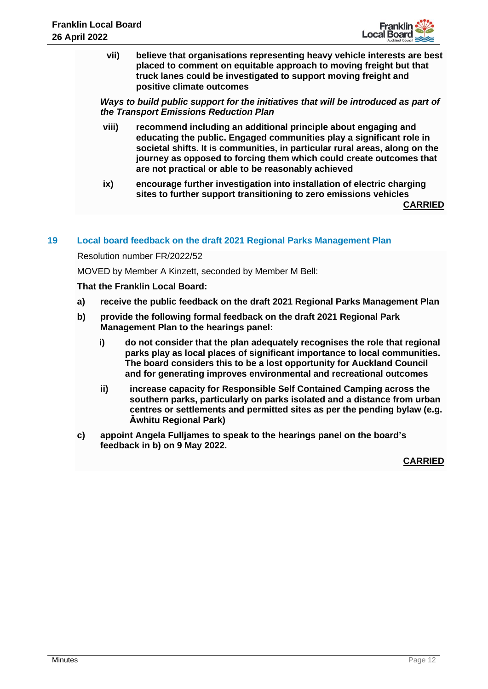

**vii) believe that organisations representing heavy vehicle interests are best placed to comment on equitable approach to moving freight but that truck lanes could be investigated to support moving freight and positive climate outcomes**

*Ways to build public support for the initiatives that will be introduced as part of the Transport Emissions Reduction Plan* 

- **viii) recommend including an additional principle about engaging and educating the public. Engaged communities play a significant role in societal shifts. It is communities, in particular rural areas, along on the journey as opposed to forcing them which could create outcomes that are not practical or able to be reasonably achieved**
- **ix) encourage further investigation into installation of electric charging sites to further support transitioning to zero emissions vehicles**

**CARRIED**

# **19 Local board feedback on the draft 2021 Regional Parks Management Plan**

Resolution number FR/2022/52

MOVED by Member A Kinzett, seconded by Member M Bell:

**That the Franklin Local Board:**

- **a) receive the public feedback on the draft 2021 Regional Parks Management Plan**
- **b) provide the following formal feedback on the draft 2021 Regional Park Management Plan to the hearings panel:**
	- **i) do not consider that the plan adequately recognises the role that regional parks play as local places of significant importance to local communities. The board considers this to be a lost opportunity for Auckland Council and for generating improves environmental and recreational outcomes**
	- **ii) increase capacity for Responsible Self Contained Camping across the southern parks, particularly on parks isolated and a distance from urban centres or settlements and permitted sites as per the pending bylaw (e.g. Āwhitu Regional Park)**
- **c) appoint Angela Fulljames to speak to the hearings panel on the board's feedback in b) on 9 May 2022.**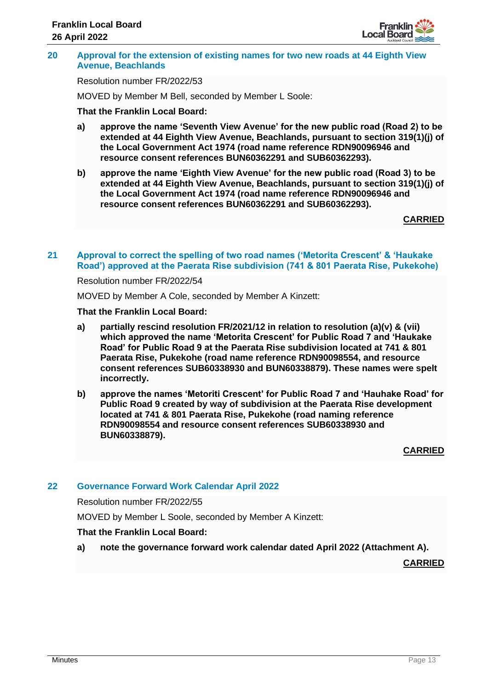

## **20 Approval for the extension of existing names for two new roads at 44 Eighth View Avenue, Beachlands**

Resolution number FR/2022/53

MOVED by Member M Bell, seconded by Member L Soole:

## **That the Franklin Local Board:**

- **a) approve the name 'Seventh View Avenue' for the new public road (Road 2) to be extended at 44 Eighth View Avenue, Beachlands, pursuant to section 319(1)(j) of the Local Government Act 1974 (road name reference RDN90096946 and resource consent references BUN60362291 and SUB60362293).**
- **b) approve the name 'Eighth View Avenue' for the new public road (Road 3) to be extended at 44 Eighth View Avenue, Beachlands, pursuant to section 319(1)(j) of the Local Government Act 1974 (road name reference RDN90096946 and resource consent references BUN60362291 and SUB60362293).**

**CARRIED**

## **21 Approval to correct the spelling of two road names ('Metorita Crescent' & 'Haukake Road') approved at the Paerata Rise subdivision (741 & 801 Paerata Rise, Pukekohe)**

## Resolution number FR/2022/54

MOVED by Member A Cole, seconded by Member A Kinzett:

## **That the Franklin Local Board:**

- **a) partially rescind resolution FR/2021/12 in relation to resolution (a)(v) & (vii) which approved the name 'Metorita Crescent' for Public Road 7 and 'Haukake Road' for Public Road 9 at the Paerata Rise subdivision located at 741 & 801 Paerata Rise, Pukekohe (road name reference RDN90098554, and resource consent references SUB60338930 and BUN60338879). These names were spelt incorrectly.**
- **b) approve the names 'Metoriti Crescent' for Public Road 7 and 'Hauhake Road' for Public Road 9 created by way of subdivision at the Paerata Rise development located at 741 & 801 Paerata Rise, Pukekohe (road naming reference RDN90098554 and resource consent references SUB60338930 and BUN60338879).**

**CARRIED**

# **22 Governance Forward Work Calendar April 2022**

Resolution number FR/2022/55

MOVED by Member L Soole, seconded by Member A Kinzett:

## **That the Franklin Local Board:**

**a) note the governance forward work calendar dated April 2022 (Attachment A).**